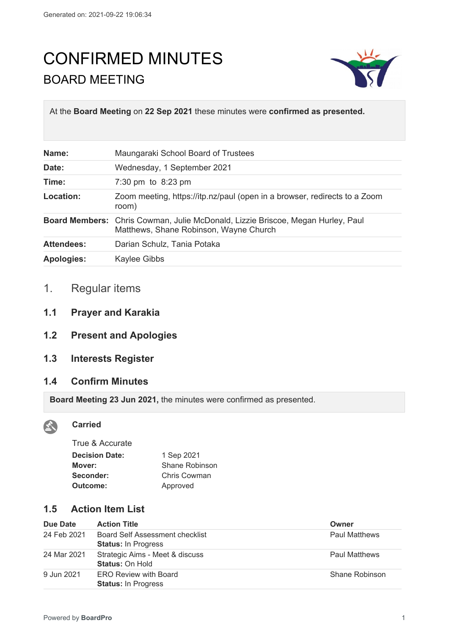# CONFIRMED MINUTES BOARD MEETING



At the **Board Meeting** on **22 Sep 2021** these minutes were **confirmed as presented.**

| Name:             | Maungaraki School Board of Trustees                                                                                       |
|-------------------|---------------------------------------------------------------------------------------------------------------------------|
| Date:             | Wednesday, 1 September 2021                                                                                               |
| Time:             | 7:30 pm to 8:23 pm                                                                                                        |
| Location:         | Zoom meeting, https://itp.nz/paul (open in a browser, redirects to a Zoom<br>room)                                        |
|                   | Board Members: Chris Cowman, Julie McDonald, Lizzie Briscoe, Megan Hurley, Paul<br>Matthews, Shane Robinson, Wayne Church |
| <b>Attendees:</b> | Darian Schulz, Tania Potaka                                                                                               |
| <b>Apologies:</b> | <b>Kaylee Gibbs</b>                                                                                                       |

# 1. Regular items

- **1.1 Prayer and Karakia**
- **1.2 Present and Apologies**
- **1.3 Interests Register**

#### **1.4 Confirm Minutes**

**Board Meeting 23 Jun 2021,** the minutes were confirmed as presented.



#### **Carried**

| True & Accurate       |                |
|-----------------------|----------------|
| <b>Decision Date:</b> | 1 Sep 2021     |
| Mover:                | Shane Robinson |
| Seconder:             | Chris Cowman   |
| Outcome:              | Approved       |
|                       |                |

## **1.5 Action Item List**

| Due Date    | <b>Action Title</b>                                                  | Owner                |
|-------------|----------------------------------------------------------------------|----------------------|
| 24 Feb 2021 | <b>Board Self Assessment checklist</b><br><b>Status: In Progress</b> | <b>Paul Matthews</b> |
| 24 Mar 2021 | Strategic Aims - Meet & discuss<br><b>Status: On Hold</b>            | <b>Paul Matthews</b> |
| 9 Jun 2021  | <b>ERO Review with Board</b><br><b>Status: In Progress</b>           | Shane Robinson       |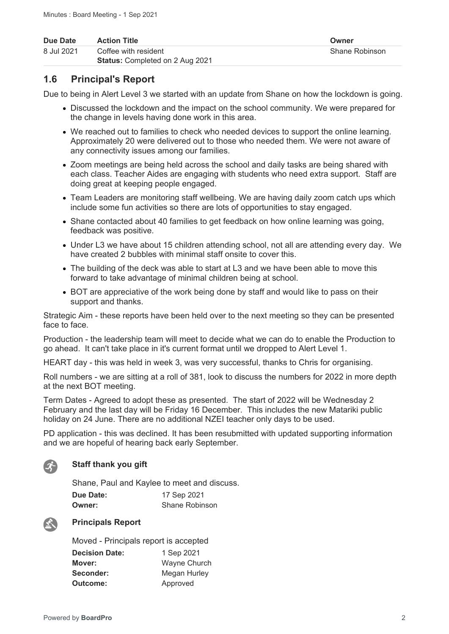| Due Date   | <b>Action Title</b>                    | Owner          |
|------------|----------------------------------------|----------------|
| 8 Jul 2021 | Coffee with resident                   | Shane Robinson |
|            | <b>Status:</b> Completed on 2 Aug 2021 |                |

## **1.6 Principal's Report**

Due to being in Alert Level 3 we started with an update from Shane on how the lockdown is going.

- Discussed the lockdown and the impact on the school community. We were prepared for the change in levels having done work in this area.
- We reached out to families to check who needed devices to support the online learning. Approximately 20 were delivered out to those who needed them. We were not aware of any connectivity issues among our families.
- Zoom meetings are being held across the school and daily tasks are being shared with each class. Teacher Aides are engaging with students who need extra support. Staff are doing great at keeping people engaged.
- Team Leaders are monitoring staff wellbeing. We are having daily zoom catch ups which include some fun activities so there are lots of opportunities to stay engaged.
- Shane contacted about 40 families to get feedback on how online learning was going, feedback was positive.
- Under L3 we have about 15 children attending school, not all are attending every day. We have created 2 bubbles with minimal staff onsite to cover this.
- The building of the deck was able to start at L3 and we have been able to move this forward to take advantage of minimal children being at school.
- BOT are appreciative of the work being done by staff and would like to pass on their support and thanks.

Strategic Aim - these reports have been held over to the next meeting so they can be presented face to face.

Production - the leadership team will meet to decide what we can do to enable the Production to go ahead. It can't take place in it's current format until we dropped to Alert Level 1.

HEART day - this was held in week 3, was very successful, thanks to Chris for organising.

Roll numbers - we are sitting at a roll of 381, look to discuss the numbers for 2022 in more depth at the next BOT meeting.

Term Dates - Agreed to adopt these as presented. The start of 2022 will be Wednesday 2 February and the last day will be Friday 16 December. This includes the new Matariki public holiday on 24 June. There are no additional NZEI teacher only days to be used.

PD application - this was declined. It has been resubmitted with updated supporting information and we are hopeful of hearing back early September.



#### **Staff thank you gift**

Shane, Paul and Kaylee to meet and discuss. **Due Date:** 17 Sep 2021 **Owner:** Shane Robinson



#### **Principals Report**

Moved - Principals report is accepted **Decision Date:** 1 Sep 2021

| Mover:    | <b>Wayne Church</b> |
|-----------|---------------------|
| Seconder: | Megan Hurley        |
| Outcome:  | Approved            |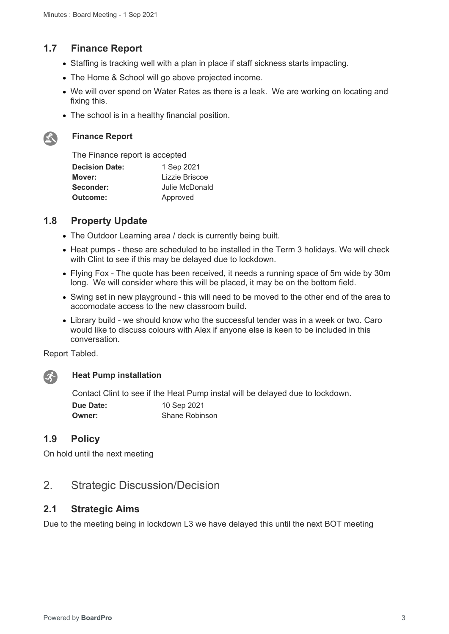## **1.7 Finance Report**

- Staffing is tracking well with a plan in place if staff sickness starts impacting.
- The Home & School will go above projected income.
- We will over spend on Water Rates as there is a leak. We are working on locating and fixing this.
- The school is in a healthy financial position.



#### **Finance Report**

| The Finance report is accepted |                |
|--------------------------------|----------------|
| <b>Decision Date:</b>          | 1 Sep 2021     |
| Mover:                         | Lizzie Briscoe |
| Seconder:                      | Julie McDonald |
| Outcome:                       | Approved       |

## **1.8 Property Update**

- The Outdoor Learning area / deck is currently being built.
- Heat pumps these are scheduled to be installed in the Term 3 holidays. We will check with Clint to see if this may be delayed due to lockdown.
- Flying Fox The quote has been received, it needs a running space of 5m wide by 30m long. We will consider where this will be placed, it may be on the bottom field.
- Swing set in new playground this will need to be moved to the other end of the area to accomodate access to the new classroom build.
- Library build we should know who the successful tender was in a week or two. Caro would like to discuss colours with Alex if anyone else is keen to be included in this conversation.

Report Tabled.



#### **Heat Pump installation**

Contact Clint to see if the Heat Pump instal will be delayed due to lockdown.

| <b>Due Date:</b> | 10 Sep 2021           |
|------------------|-----------------------|
| <b>Owner:</b>    | <b>Shane Robinson</b> |

## **1.9 Policy**

On hold until the next meeting

## 2. Strategic Discussion/Decision

#### **2.1 Strategic Aims**

Due to the meeting being in lockdown L3 we have delayed this until the next BOT meeting